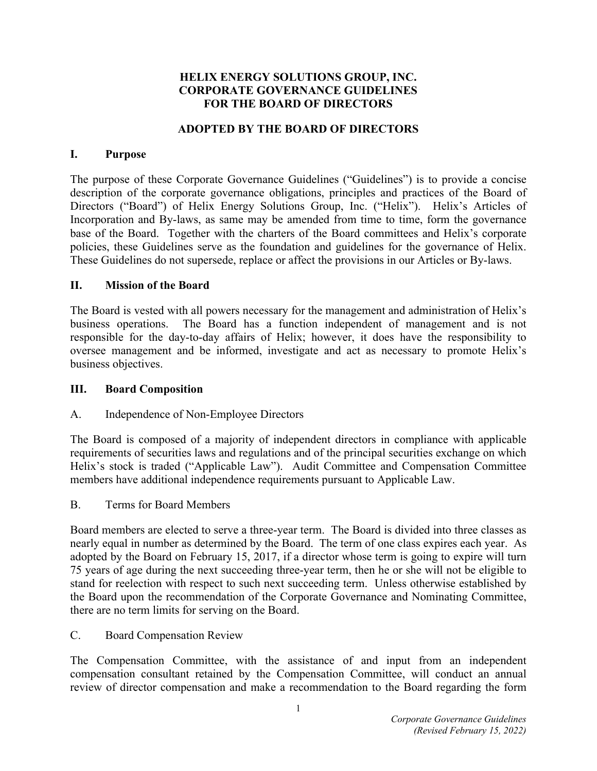#### **HELIX ENERGY SOLUTIONS GROUP, INC. CORPORATE GOVERNANCE GUIDELINES FOR THE BOARD OF DIRECTORS**

#### **ADOPTED BY THE BOARD OF DIRECTORS**

#### **I. Purpose**

The purpose of these Corporate Governance Guidelines ("Guidelines") is to provide a concise description of the corporate governance obligations, principles and practices of the Board of Directors ("Board") of Helix Energy Solutions Group, Inc. ("Helix"). Helix's Articles of Incorporation and By-laws, as same may be amended from time to time, form the governance base of the Board. Together with the charters of the Board committees and Helix's corporate policies, these Guidelines serve as the foundation and guidelines for the governance of Helix. These Guidelines do not supersede, replace or affect the provisions in our Articles or By-laws.

#### **II. Mission of the Board**

The Board is vested with all powers necessary for the management and administration of Helix's business operations. The Board has a function independent of management and is not responsible for the day-to-day affairs of Helix; however, it does have the responsibility to oversee management and be informed, investigate and act as necessary to promote Helix's business objectives.

#### **III. Board Composition**

# A. Independence of Non-Employee Directors

The Board is composed of a majority of independent directors in compliance with applicable requirements of securities laws and regulations and of the principal securities exchange on which Helix's stock is traded ("Applicable Law"). Audit Committee and Compensation Committee members have additional independence requirements pursuant to Applicable Law.

B. Terms for Board Members

Board members are elected to serve a three-year term. The Board is divided into three classes as nearly equal in number as determined by the Board. The term of one class expires each year. As adopted by the Board on February 15, 2017, if a director whose term is going to expire will turn 75 years of age during the next succeeding three-year term, then he or she will not be eligible to stand for reelection with respect to such next succeeding term. Unless otherwise established by the Board upon the recommendation of the Corporate Governance and Nominating Committee, there are no term limits for serving on the Board.

C. Board Compensation Review

The Compensation Committee, with the assistance of and input from an independent compensation consultant retained by the Compensation Committee, will conduct an annual review of director compensation and make a recommendation to the Board regarding the form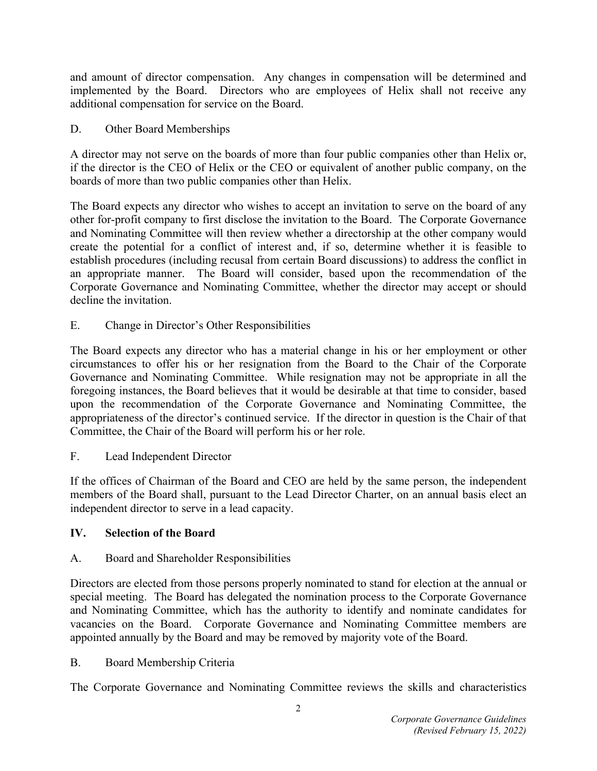and amount of director compensation. Any changes in compensation will be determined and implemented by the Board. Directors who are employees of Helix shall not receive any additional compensation for service on the Board.

D. Other Board Memberships

A director may not serve on the boards of more than four public companies other than Helix or, if the director is the CEO of Helix or the CEO or equivalent of another public company, on the boards of more than two public companies other than Helix.

The Board expects any director who wishes to accept an invitation to serve on the board of any other for-profit company to first disclose the invitation to the Board. The Corporate Governance and Nominating Committee will then review whether a directorship at the other company would create the potential for a conflict of interest and, if so, determine whether it is feasible to establish procedures (including recusal from certain Board discussions) to address the conflict in an appropriate manner. The Board will consider, based upon the recommendation of the Corporate Governance and Nominating Committee, whether the director may accept or should decline the invitation.

E. Change in Director's Other Responsibilities

The Board expects any director who has a material change in his or her employment or other circumstances to offer his or her resignation from the Board to the Chair of the Corporate Governance and Nominating Committee. While resignation may not be appropriate in all the foregoing instances, the Board believes that it would be desirable at that time to consider, based upon the recommendation of the Corporate Governance and Nominating Committee, the appropriateness of the director's continued service. If the director in question is the Chair of that Committee, the Chair of the Board will perform his or her role.

F. Lead Independent Director

If the offices of Chairman of the Board and CEO are held by the same person, the independent members of the Board shall, pursuant to the Lead Director Charter, on an annual basis elect an independent director to serve in a lead capacity.

# **IV. Selection of the Board**

# A. Board and Shareholder Responsibilities

Directors are elected from those persons properly nominated to stand for election at the annual or special meeting. The Board has delegated the nomination process to the Corporate Governance and Nominating Committee, which has the authority to identify and nominate candidates for vacancies on the Board. Corporate Governance and Nominating Committee members are appointed annually by the Board and may be removed by majority vote of the Board.

# B. Board Membership Criteria

The Corporate Governance and Nominating Committee reviews the skills and characteristics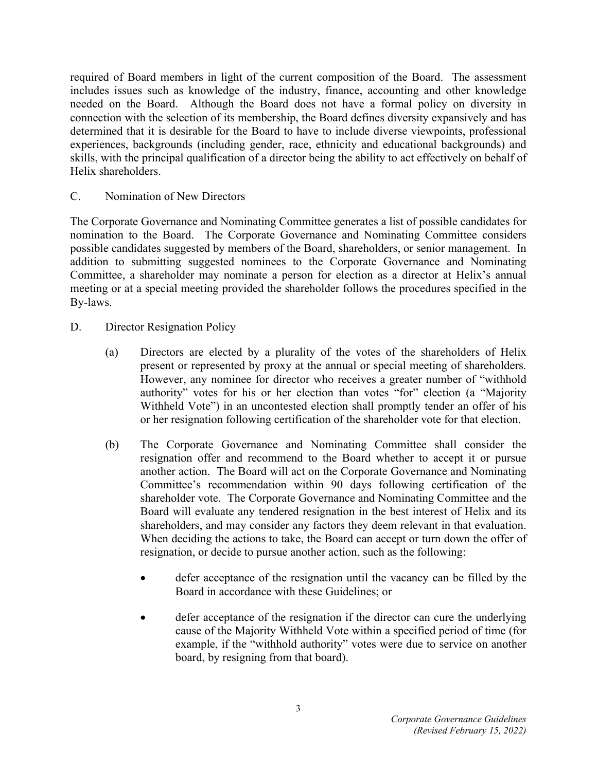required of Board members in light of the current composition of the Board. The assessment includes issues such as knowledge of the industry, finance, accounting and other knowledge needed on the Board. Although the Board does not have a formal policy on diversity in connection with the selection of its membership, the Board defines diversity expansively and has determined that it is desirable for the Board to have to include diverse viewpoints, professional experiences, backgrounds (including gender, race, ethnicity and educational backgrounds) and skills, with the principal qualification of a director being the ability to act effectively on behalf of Helix shareholders.

C. Nomination of New Directors

The Corporate Governance and Nominating Committee generates a list of possible candidates for nomination to the Board. The Corporate Governance and Nominating Committee considers possible candidates suggested by members of the Board, shareholders, or senior management. In addition to submitting suggested nominees to the Corporate Governance and Nominating Committee, a shareholder may nominate a person for election as a director at Helix's annual meeting or at a special meeting provided the shareholder follows the procedures specified in the By-laws.

- D. Director Resignation Policy
	- (a) Directors are elected by a plurality of the votes of the shareholders of Helix present or represented by proxy at the annual or special meeting of shareholders. However, any nominee for director who receives a greater number of "withhold authority" votes for his or her election than votes "for" election (a "Majority Withheld Vote") in an uncontested election shall promptly tender an offer of his or her resignation following certification of the shareholder vote for that election.
	- (b) The Corporate Governance and Nominating Committee shall consider the resignation offer and recommend to the Board whether to accept it or pursue another action. The Board will act on the Corporate Governance and Nominating Committee's recommendation within 90 days following certification of the shareholder vote. The Corporate Governance and Nominating Committee and the Board will evaluate any tendered resignation in the best interest of Helix and its shareholders, and may consider any factors they deem relevant in that evaluation. When deciding the actions to take, the Board can accept or turn down the offer of resignation, or decide to pursue another action, such as the following:
		- defer acceptance of the resignation until the vacancy can be filled by the Board in accordance with these Guidelines; or
		- defer acceptance of the resignation if the director can cure the underlying cause of the Majority Withheld Vote within a specified period of time (for example, if the "withhold authority" votes were due to service on another board, by resigning from that board).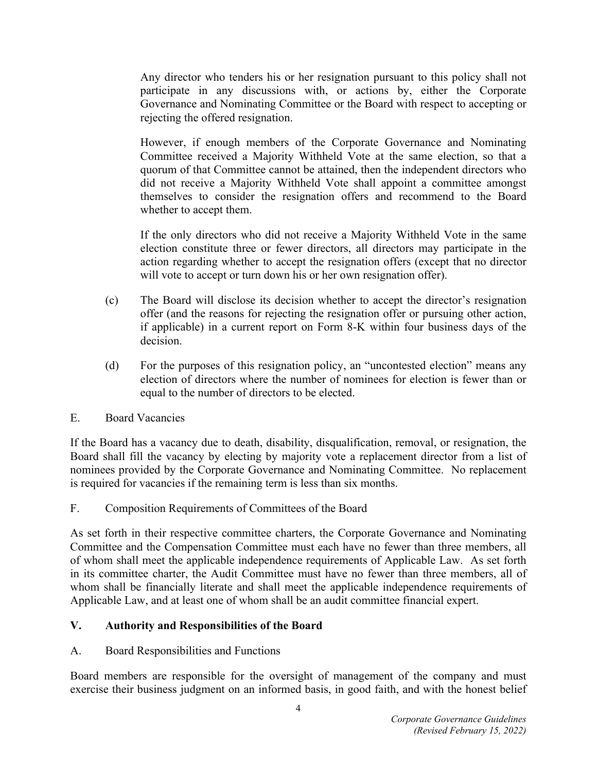Any director who tenders his or her resignation pursuant to this policy shall not participate in any discussions with, or actions by, either the Corporate Governance and Nominating Committee or the Board with respect to accepting or rejecting the offered resignation.

However, if enough members of the Corporate Governance and Nominating Committee received a Majority Withheld Vote at the same election, so that a quorum of that Committee cannot be attained, then the independent directors who did not receive a Majority Withheld Vote shall appoint a committee amongst themselves to consider the resignation offers and recommend to the Board whether to accept them.

If the only directors who did not receive a Majority Withheld Vote in the same election constitute three or fewer directors, all directors may participate in the action regarding whether to accept the resignation offers (except that no director will vote to accept or turn down his or her own resignation offer).

- (c) The Board will disclose its decision whether to accept the director's resignation offer (and the reasons for rejecting the resignation offer or pursuing other action, if applicable) in a current report on Form 8-K within four business days of the decision.
- (d) For the purposes of this resignation policy, an "uncontested election" means any election of directors where the number of nominees for election is fewer than or equal to the number of directors to be elected.
- E. Board Vacancies

If the Board has a vacancy due to death, disability, disqualification, removal, or resignation, the Board shall fill the vacancy by electing by majority vote a replacement director from a list of nominees provided by the Corporate Governance and Nominating Committee. No replacement is required for vacancies if the remaining term is less than six months.

F. Composition Requirements of Committees of the Board

As set forth in their respective committee charters, the Corporate Governance and Nominating Committee and the Compensation Committee must each have no fewer than three members, all of whom shall meet the applicable independence requirements of Applicable Law. As set forth in its committee charter, the Audit Committee must have no fewer than three members, all of whom shall be financially literate and shall meet the applicable independence requirements of Applicable Law, and at least one of whom shall be an audit committee financial expert.

# **V. Authority and Responsibilities of the Board**

A. Board Responsibilities and Functions

Board members are responsible for the oversight of management of the company and must exercise their business judgment on an informed basis, in good faith, and with the honest belief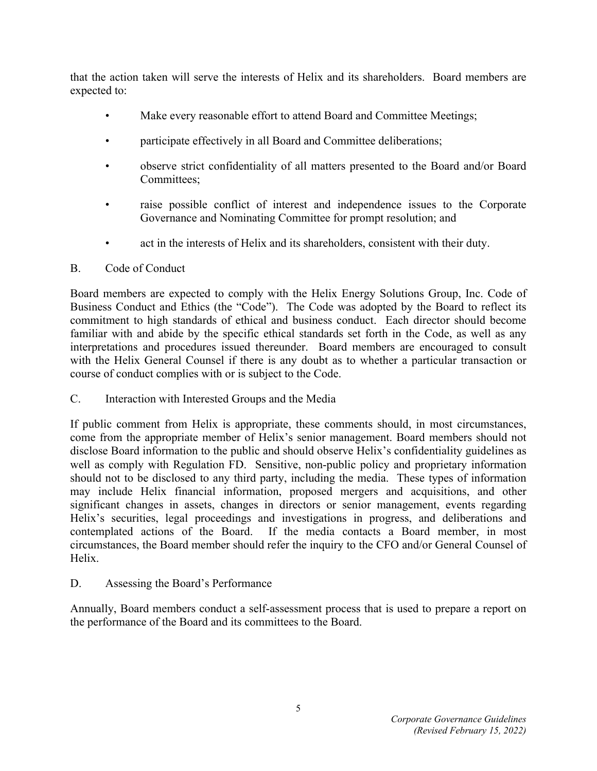that the action taken will serve the interests of Helix and its shareholders. Board members are expected to:

- Make every reasonable effort to attend Board and Committee Meetings;
- participate effectively in all Board and Committee deliberations;
- observe strict confidentiality of all matters presented to the Board and/or Board Committees;
- raise possible conflict of interest and independence issues to the Corporate Governance and Nominating Committee for prompt resolution; and
- act in the interests of Helix and its shareholders, consistent with their duty.

# B. Code of Conduct

Board members are expected to comply with the Helix Energy Solutions Group, Inc. Code of Business Conduct and Ethics (the "Code"). The Code was adopted by the Board to reflect its commitment to high standards of ethical and business conduct. Each director should become familiar with and abide by the specific ethical standards set forth in the Code, as well as any interpretations and procedures issued thereunder. Board members are encouraged to consult with the Helix General Counsel if there is any doubt as to whether a particular transaction or course of conduct complies with or is subject to the Code.

C. Interaction with Interested Groups and the Media

If public comment from Helix is appropriate, these comments should, in most circumstances, come from the appropriate member of Helix's senior management. Board members should not disclose Board information to the public and should observe Helix's confidentiality guidelines as well as comply with Regulation FD. Sensitive, non-public policy and proprietary information should not to be disclosed to any third party, including the media. These types of information may include Helix financial information, proposed mergers and acquisitions, and other significant changes in assets, changes in directors or senior management, events regarding Helix's securities, legal proceedings and investigations in progress, and deliberations and contemplated actions of the Board. If the media contacts a Board member, in most circumstances, the Board member should refer the inquiry to the CFO and/or General Counsel of Helix.

D. Assessing the Board's Performance

Annually, Board members conduct a self-assessment process that is used to prepare a report on the performance of the Board and its committees to the Board.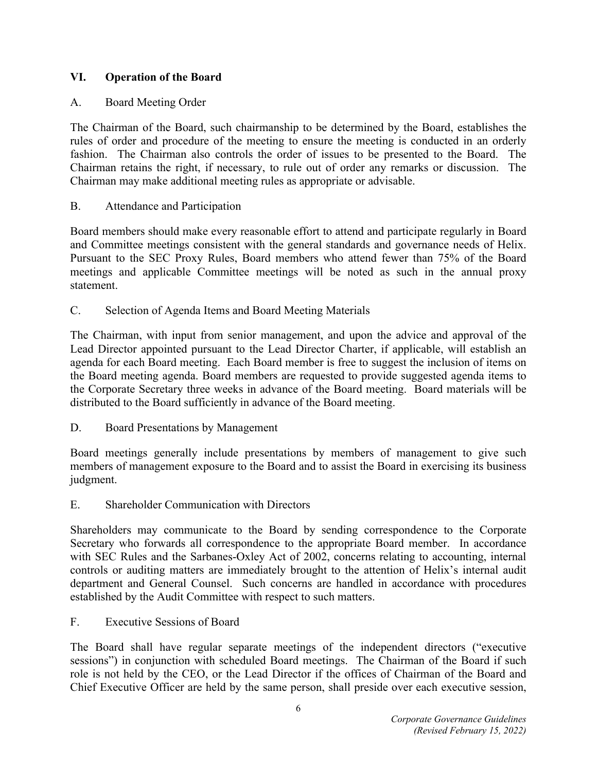# **VI. Operation of the Board**

# A. Board Meeting Order

The Chairman of the Board, such chairmanship to be determined by the Board, establishes the rules of order and procedure of the meeting to ensure the meeting is conducted in an orderly fashion. The Chairman also controls the order of issues to be presented to the Board. The Chairman retains the right, if necessary, to rule out of order any remarks or discussion. The Chairman may make additional meeting rules as appropriate or advisable.

# B. Attendance and Participation

Board members should make every reasonable effort to attend and participate regularly in Board and Committee meetings consistent with the general standards and governance needs of Helix. Pursuant to the SEC Proxy Rules, Board members who attend fewer than 75% of the Board meetings and applicable Committee meetings will be noted as such in the annual proxy statement.

C. Selection of Agenda Items and Board Meeting Materials

The Chairman, with input from senior management, and upon the advice and approval of the Lead Director appointed pursuant to the Lead Director Charter, if applicable, will establish an agenda for each Board meeting. Each Board member is free to suggest the inclusion of items on the Board meeting agenda. Board members are requested to provide suggested agenda items to the Corporate Secretary three weeks in advance of the Board meeting. Board materials will be distributed to the Board sufficiently in advance of the Board meeting.

D. Board Presentations by Management

Board meetings generally include presentations by members of management to give such members of management exposure to the Board and to assist the Board in exercising its business judgment.

E. Shareholder Communication with Directors

Shareholders may communicate to the Board by sending correspondence to the Corporate Secretary who forwards all correspondence to the appropriate Board member. In accordance with SEC Rules and the Sarbanes-Oxley Act of 2002, concerns relating to accounting, internal controls or auditing matters are immediately brought to the attention of Helix's internal audit department and General Counsel. Such concerns are handled in accordance with procedures established by the Audit Committee with respect to such matters.

F. Executive Sessions of Board

The Board shall have regular separate meetings of the independent directors ("executive sessions") in conjunction with scheduled Board meetings. The Chairman of the Board if such role is not held by the CEO, or the Lead Director if the offices of Chairman of the Board and Chief Executive Officer are held by the same person, shall preside over each executive session,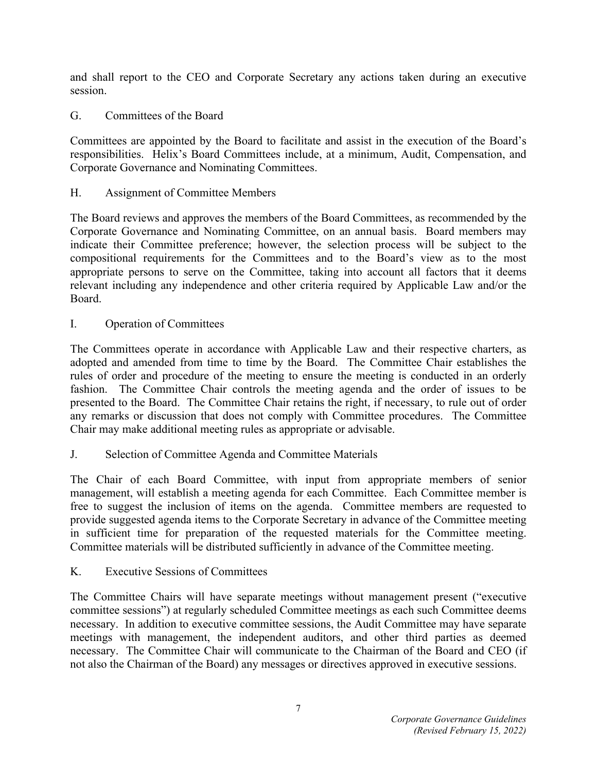and shall report to the CEO and Corporate Secretary any actions taken during an executive session.

G. Committees of the Board

Committees are appointed by the Board to facilitate and assist in the execution of the Board's responsibilities. Helix's Board Committees include, at a minimum, Audit, Compensation, and Corporate Governance and Nominating Committees.

H. Assignment of Committee Members

The Board reviews and approves the members of the Board Committees, as recommended by the Corporate Governance and Nominating Committee, on an annual basis. Board members may indicate their Committee preference; however, the selection process will be subject to the compositional requirements for the Committees and to the Board's view as to the most appropriate persons to serve on the Committee, taking into account all factors that it deems relevant including any independence and other criteria required by Applicable Law and/or the Board.

I. Operation of Committees

The Committees operate in accordance with Applicable Law and their respective charters, as adopted and amended from time to time by the Board. The Committee Chair establishes the rules of order and procedure of the meeting to ensure the meeting is conducted in an orderly fashion. The Committee Chair controls the meeting agenda and the order of issues to be presented to the Board. The Committee Chair retains the right, if necessary, to rule out of order any remarks or discussion that does not comply with Committee procedures. The Committee Chair may make additional meeting rules as appropriate or advisable.

J. Selection of Committee Agenda and Committee Materials

The Chair of each Board Committee, with input from appropriate members of senior management, will establish a meeting agenda for each Committee. Each Committee member is free to suggest the inclusion of items on the agenda. Committee members are requested to provide suggested agenda items to the Corporate Secretary in advance of the Committee meeting in sufficient time for preparation of the requested materials for the Committee meeting. Committee materials will be distributed sufficiently in advance of the Committee meeting.

K. Executive Sessions of Committees

The Committee Chairs will have separate meetings without management present ("executive committee sessions") at regularly scheduled Committee meetings as each such Committee deems necessary. In addition to executive committee sessions, the Audit Committee may have separate meetings with management, the independent auditors, and other third parties as deemed necessary. The Committee Chair will communicate to the Chairman of the Board and CEO (if not also the Chairman of the Board) any messages or directives approved in executive sessions.